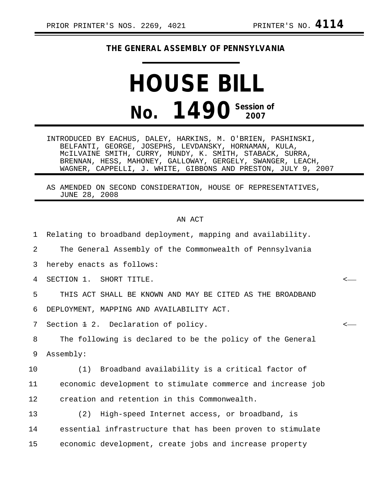## **THE GENERAL ASSEMBLY OF PENNSYLVANIA**

## **HOUSE BILL No. 1490** Session of

INTRODUCED BY EACHUS, DALEY, HARKINS, M. O'BRIEN, PASHINSKI, BELFANTI, GEORGE, JOSEPHS, LEVDANSKY, HORNAMAN, KULA, McILVAINE SMITH, CURRY, MUNDY, K. SMITH, STABACK, SURRA, BRENNAN, HESS, MAHONEY, GALLOWAY, GERGELY, SWANGER, LEACH, WAGNER, CAPPELLI, J. WHITE, GIBBONS AND PRESTON, JULY 9, 2007

AS AMENDED ON SECOND CONSIDERATION, HOUSE OF REPRESENTATIVES, JUNE 28, 2008

## AN ACT

1 Relating to broadband deployment, mapping and availability. 2 The General Assembly of the Commonwealth of Pennsylvania 3 hereby enacts as follows: 4 SECTION 1. SHORT TITLE. < 5 THIS ACT SHALL BE KNOWN AND MAY BE CITED AS THE BROADBAND 6 DEPLOYMENT, MAPPING AND AVAILABILITY ACT. 7 Section <del>1</del> 2. Declaration of policy.  $\sim$ 8 The following is declared to be the policy of the General 9 Assembly: 10 (1) Broadband availability is a critical factor of 11 economic development to stimulate commerce and increase job 12 creation and retention in this Commonwealth. 13 (2) High-speed Internet access, or broadband, is 14 essential infrastructure that has been proven to stimulate 15 economic development, create jobs and increase property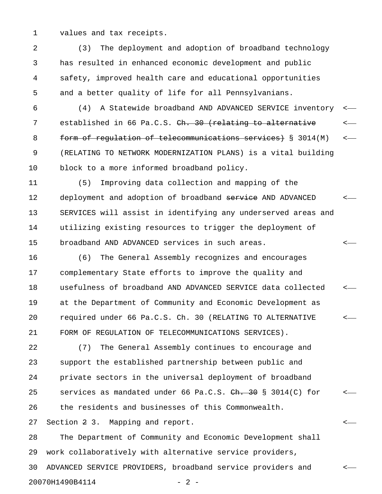1 values and tax receipts.

2 (3) The deployment and adoption of broadband technology 3 has resulted in enhanced economic development and public 4 safety, improved health care and educational opportunities 5 and a better quality of life for all Pennsylvanians.

6 (4) A Statewide broadband AND ADVANCED SERVICE inventory < 7 established in 66 Pa.C.S. Ch. 30 (relating to alternative 8 form of requiation of telecommunications services) § 3014(M) <-9 (RELATING TO NETWORK MODERNIZATION PLANS) is a vital building 10 block to a more informed broadband policy.

11 (5) Improving data collection and mapping of the 12 deployment and adoption of broadband service AND ADVANCED <-13 SERVICES will assist in identifying any underserved areas and 14 utilizing existing resources to trigger the deployment of 15 broadband AND ADVANCED services in such areas. <

16 (6) The General Assembly recognizes and encourages 17 complementary State efforts to improve the quality and 18 usefulness of broadband AND ADVANCED SERVICE data collected < 19 at the Department of Community and Economic Development as 20 required under 66 Pa.C.S. Ch. 30 (RELATING TO ALTERNATIVE < 21 FORM OF REGULATION OF TELECOMMUNICATIONS SERVICES).

22 (7) The General Assembly continues to encourage and 23 support the established partnership between public and 24 private sectors in the universal deployment of broadband 25 services as mandated under 66 Pa.C.S.  $\frac{\text{ch. }30 \text{ S}}{3014 \text{ (C)}}$  for  $\leftarrow$ 26 the residents and businesses of this Commonwealth.

27 Section 2 3. Mapping and report. <

28 The Department of Community and Economic Development shall 29 work collaboratively with alternative service providers, 30 ADVANCED SERVICE PROVIDERS, broadband service providers and < 20070H1490B4114 - 2 -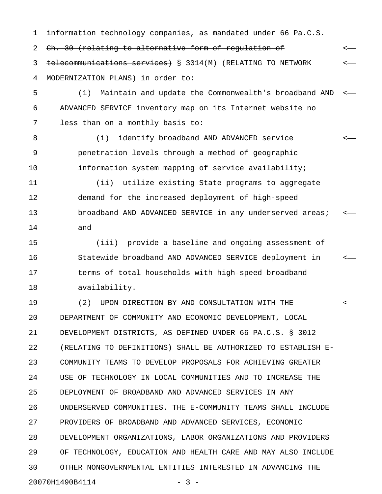1 information technology companies, as mandated under 66 Pa.C.S.

2 <del>Ch. 30 (relating to alternative form of regulation of</del>  $\leftarrow$ 3 telecommunications services) § 3014(M) (RELATING TO NETWORK <-4 MODERNIZATION PLANS) in order to:

5 (1) Maintain and update the Commonwealth's broadband AND < 6 ADVANCED SERVICE inventory map on its Internet website no 7 less than on a monthly basis to:

8 (i) identify broadband AND ADVANCED service <-9 penetration levels through a method of geographic 10 information system mapping of service availability;

11 (ii) utilize existing State programs to aggregate 12 demand for the increased deployment of high-speed 13 broadband AND ADVANCED SERVICE in any underserved areas; <-14 and

15 (iii) provide a baseline and ongoing assessment of 16 Statewide broadband AND ADVANCED SERVICE deployment in < 17 terms of total households with high-speed broadband 18 availability.

19 (2) UPON DIRECTION BY AND CONSULTATION WITH THE < 20 DEPARTMENT OF COMMUNITY AND ECONOMIC DEVELOPMENT, LOCAL 21 DEVELOPMENT DISTRICTS, AS DEFINED UNDER 66 PA.C.S. § 3012 22 (RELATING TO DEFINITIONS) SHALL BE AUTHORIZED TO ESTABLISH E-23 COMMUNITY TEAMS TO DEVELOP PROPOSALS FOR ACHIEVING GREATER 24 USE OF TECHNOLOGY IN LOCAL COMMUNITIES AND TO INCREASE THE 25 DEPLOYMENT OF BROADBAND AND ADVANCED SERVICES IN ANY 26 UNDERSERVED COMMUNITIES. THE E-COMMUNITY TEAMS SHALL INCLUDE 27 PROVIDERS OF BROADBAND AND ADVANCED SERVICES, ECONOMIC 28 DEVELOPMENT ORGANIZATIONS, LABOR ORGANIZATIONS AND PROVIDERS 29 OF TECHNOLOGY, EDUCATION AND HEALTH CARE AND MAY ALSO INCLUDE 30 OTHER NONGOVERNMENTAL ENTITIES INTERESTED IN ADVANCING THE 20070H1490B4114 - 3 -